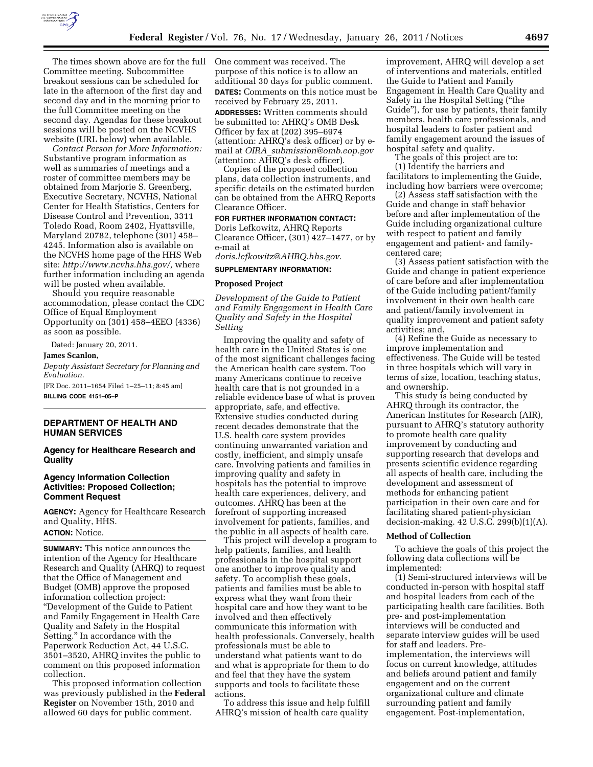

The times shown above are for the full Committee meeting. Subcommittee breakout sessions can be scheduled for late in the afternoon of the first day and second day and in the morning prior to the full Committee meeting on the second day. Agendas for these breakout sessions will be posted on the NCVHS website (URL below) when available.

*Contact Person for More Information:*  Substantive program information as well as summaries of meetings and a roster of committee members may be obtained from Marjorie S. Greenberg, Executive Secretary, NCVHS, National Center for Health Statistics, Centers for Disease Control and Prevention, 3311 Toledo Road, Room 2402, Hyattsville, Maryland 20782, telephone (301) 458– 4245. Information also is available on the NCVHS home page of the HHS Web site: *[http://www.ncvhs.hhs.gov/,](http://www.ncvhs.hhs.gov/)* where further information including an agenda will be posted when available.

Should you require reasonable accommodation, please contact the CDC Office of Equal Employment Opportunity on (301) 458–4EEO (4336) as soon as possible.

Dated: January 20, 2011.

**James Scanlon,** 

*Deputy Assistant Secretary for Planning and Evaluation.* 

[FR Doc. 2011–1654 Filed 1–25–11; 8:45 am] **BILLING CODE 4151–05–P** 

## **DEPARTMENT OF HEALTH AND HUMAN SERVICES**

### **Agency for Healthcare Research and Quality**

#### **Agency Information Collection Activities: Proposed Collection; Comment Request**

**AGENCY:** Agency for Healthcare Research and Quality, HHS.

**ACTION:** Notice.

**SUMMARY:** This notice announces the intention of the Agency for Healthcare Research and Quality (AHRQ) to request that the Office of Management and Budget (OMB) approve the proposed information collection project: ''Development of the Guide to Patient and Family Engagement in Health Care Quality and Safety in the Hospital Setting.'' In accordance with the Paperwork Reduction Act, 44 U.S.C. 3501–3520, AHRQ invites the public to comment on this proposed information collection.

This proposed information collection was previously published in the **Federal Register** on November 15th, 2010 and allowed 60 days for public comment.

One comment was received. The purpose of this notice is to allow an additional 30 days for public comment. **DATES:** Comments on this notice must be received by February 25, 2011. **ADDRESSES:** Written comments should be submitted to: AHRQ's OMB Desk Officer by fax at (202) 395–6974 (attention: AHRQ's desk officer) or by email at *OIRA*\_*[submission@omb.eop.gov](mailto:OIRA_submission@omb.eop.gov)*  (attention: AHRQ's desk officer).

Copies of the proposed collection plans, data collection instruments, and specific details on the estimated burden can be obtained from the AHRQ Reports Clearance Officer.

### **FOR FURTHER INFORMATION CONTACT:**

Doris Lefkowitz, AHRQ Reports Clearance Officer,  $(301)$  427-1477, or by e-mail at

*[doris.lefkowitz@AHRQ.hhs.gov.](mailto:doris.lefkowitz@AHRQ.hhs.gov)* 

# **SUPPLEMENTARY INFORMATION:**

#### **Proposed Project**

*Development of the Guide to Patient and Family Engagement in Health Care Quality and Safety in the Hospital Setting* 

Improving the quality and safety of health care in the United States is one of the most significant challenges facing the American health care system. Too many Americans continue to receive health care that is not grounded in a reliable evidence base of what is proven appropriate, safe, and effective. Extensive studies conducted during recent decades demonstrate that the U.S. health care system provides continuing unwarranted variation and costly, inefficient, and simply unsafe care. Involving patients and families in improving quality and safety in hospitals has the potential to improve health care experiences, delivery, and outcomes. AHRQ has been at the forefront of supporting increased involvement for patients, families, and the public in all aspects of health care.

This project will develop a program to help patients, families, and health professionals in the hospital support one another to improve quality and safety. To accomplish these goals, patients and families must be able to express what they want from their hospital care and how they want to be involved and then effectively communicate this information with health professionals. Conversely, health professionals must be able to understand what patients want to do and what is appropriate for them to do and feel that they have the system supports and tools to facilitate these actions.

To address this issue and help fulfill AHRQ's mission of health care quality

improvement, AHRQ will develop a set of interventions and materials, entitled the Guide to Patient and Family Engagement in Health Care Quality and Safety in the Hospital Setting (''the Guide''), for use by patients, their family members, health care professionals, and hospital leaders to foster patient and family engagement around the issues of hospital safety and quality.

The goals of this project are to:

(1) Identify the barriers and facilitators to implementing the Guide, including how barriers were overcome;

(2) Assess staff satisfaction with the Guide and change in staff behavior before and after implementation of the Guide including organizational culture with respect to patient and family engagement and patient- and familycentered care;

(3) Assess patient satisfaction with the Guide and change in patient experience of care before and after implementation of the Guide including patient/family involvement in their own health care and patient/family involvement in quality improvement and patient safety activities; and,

(4) Refine the Guide as necessary to improve implementation and effectiveness. The Guide will be tested in three hospitals which will vary in terms of size, location, teaching status, and ownership.

This study is being conducted by AHRQ through its contractor, the American Institutes for Research (AIR), pursuant to AHRQ's statutory authority to promote health care quality improvement by conducting and supporting research that develops and presents scientific evidence regarding all aspects of health care, including the development and assessment of methods for enhancing patient participation in their own care and for facilitating shared patient-physician decision-making. 42 U.S.C. 299(b)(1)(A).

#### **Method of Collection**

To achieve the goals of this project the following data collections will be implemented:

(1) Semi-structured interviews will be conducted in-person with hospital staff and hospital leaders from each of the participating health care facilities. Both pre- and post-implementation interviews will be conducted and separate interview guides will be used for staff and leaders. Preimplementation, the interviews will focus on current knowledge, attitudes and beliefs around patient and family engagement and on the current organizational culture and climate surrounding patient and family engagement. Post-implementation,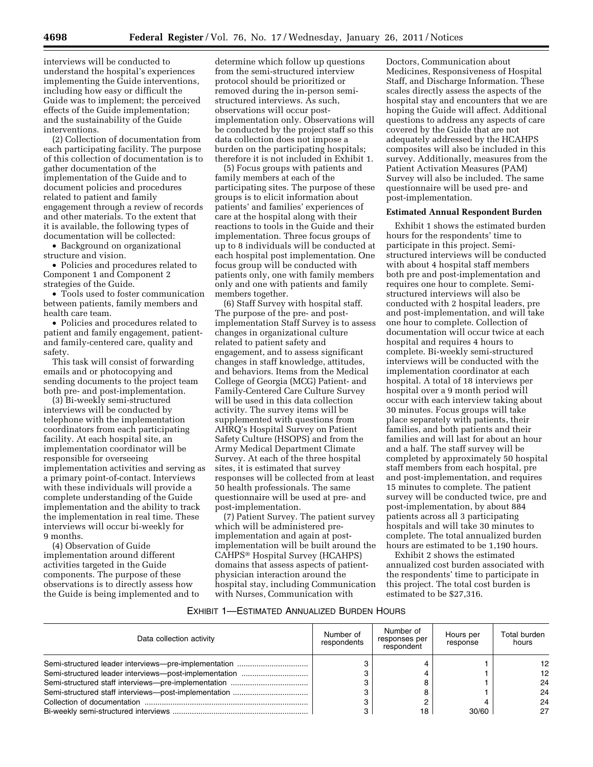interviews will be conducted to understand the hospital's experiences implementing the Guide interventions, including how easy or difficult the Guide was to implement; the perceived effects of the Guide implementation; and the sustainability of the Guide interventions.

(2) Collection of documentation from each participating facility. The purpose of this collection of documentation is to gather documentation of the implementation of the Guide and to document policies and procedures related to patient and family engagement through a review of records and other materials. To the extent that it is available, the following types of documentation will be collected:

• Background on organizational structure and vision.

• Policies and procedures related to Component 1 and Component 2 strategies of the Guide.

• Tools used to foster communication between patients, family members and health care team.

• Policies and procedures related to patient and family engagement, patientand family-centered care, quality and safety.

This task will consist of forwarding emails and or photocopying and sending documents to the project team both pre- and post-implementation.

(3) Bi-weekly semi-structured interviews will be conducted by telephone with the implementation coordinators from each participating facility. At each hospital site, an implementation coordinator will be responsible for overseeing implementation activities and serving as a primary point-of-contact. Interviews with these individuals will provide a complete understanding of the Guide implementation and the ability to track the implementation in real time. These interviews will occur bi-weekly for 9 months.

(4) Observation of Guide implementation around different activities targeted in the Guide components. The purpose of these observations is to directly assess how the Guide is being implemented and to

determine which follow up questions from the semi-structured interview protocol should be prioritized or removed during the in-person semistructured interviews. As such, observations will occur postimplementation only. Observations will be conducted by the project staff so this data collection does not impose a burden on the participating hospitals; therefore it is not included in Exhibit 1.

(5) Focus groups with patients and family members at each of the participating sites. The purpose of these groups is to elicit information about patients' and families' experiences of care at the hospital along with their reactions to tools in the Guide and their implementation. Three focus groups of up to 8 individuals will be conducted at each hospital post implementation. One focus group will be conducted with patients only, one with family members only and one with patients and family members together.

(6) Staff Survey with hospital staff. The purpose of the pre- and postimplementation Staff Survey is to assess changes in organizational culture related to patient safety and engagement, and to assess significant changes in staff knowledge, attitudes, and behaviors. Items from the Medical College of Georgia (MCG) Patient- and Family-Centered Care Culture Survey will be used in this data collection activity. The survey items will be supplemented with questions from AHRQ's Hospital Survey on Patient Safety Culture (HSOPS) and from the Army Medical Department Climate Survey. At each of the three hospital sites, it is estimated that survey responses will be collected from at least 50 health professionals. The same questionnaire will be used at pre- and post-implementation.

(7) Patient Survey. The patient survey which will be administered preimplementation and again at postimplementation will be built around the CAHPS® Hospital Survey (HCAHPS) domains that assess aspects of patientphysician interaction around the hospital stay, including Communication with Nurses, Communication with

Doctors, Communication about Medicines, Responsiveness of Hospital Staff, and Discharge Information. These scales directly assess the aspects of the hospital stay and encounters that we are hoping the Guide will affect. Additional questions to address any aspects of care covered by the Guide that are not adequately addressed by the HCAHPS composites will also be included in this survey. Additionally, measures from the Patient Activation Measures (PAM) Survey will also be included. The same questionnaire will be used pre- and post-implementation.

### **Estimated Annual Respondent Burden**

Exhibit 1 shows the estimated burden hours for the respondents' time to participate in this project. Semistructured interviews will be conducted with about 4 hospital staff members both pre and post-implementation and requires one hour to complete. Semistructured interviews will also be conducted with 2 hospital leaders, pre and post-implementation, and will take one hour to complete. Collection of documentation will occur twice at each hospital and requires 4 hours to complete. Bi-weekly semi-structured interviews will be conducted with the implementation coordinator at each hospital. A total of 18 interviews per hospital over a 9 month period will occur with each interview taking about 30 minutes. Focus groups will take place separately with patients, their families, and both patients and their families and will last for about an hour and a half. The staff survey will be completed by approximately 50 hospital staff members from each hospital, pre and post-implementation, and requires 15 minutes to complete. The patient survey will be conducted twice, pre and post-implementation, by about 884 patients across all 3 participating hospitals and will take 30 minutes to complete. The total annualized burden hours are estimated to be 1,190 hours.

Exhibit 2 shows the estimated annualized cost burden associated with the respondents' time to participate in this project. The total cost burden is estimated to be \$27,316.

## EXHIBIT 1—ESTIMATED ANNUALIZED BURDEN HOURS

| Data collection activity | Number of<br>respondents | Number of<br>responses per<br>respondent | Hours per<br>response | Total burden<br>hours |
|--------------------------|--------------------------|------------------------------------------|-----------------------|-----------------------|
|                          |                          |                                          |                       | 12.                   |
|                          |                          |                                          |                       | $12 \overline{ }$     |
|                          |                          |                                          |                       | 24                    |
|                          |                          |                                          |                       | 24                    |
|                          |                          |                                          |                       | 24                    |
|                          |                          | 18                                       | 30/60                 | 27                    |